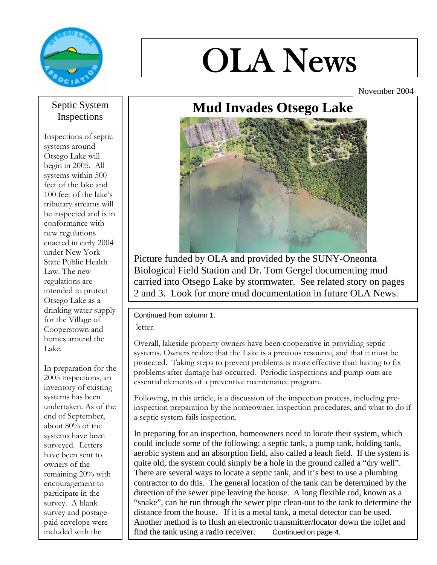

# OLA News

November 2004

## Septic System Inspections

Inspections of septic systems around Otsego Lake will begin in 2005. All systems within 500 feet of the lake and 100 feet of the lake's tributary streams will be inspected and is in conformance with new regulations enacted in early 2004 under New York State Public Health Law. The new regulations are intended to protect Otsego Lake as a drinking water supply for the Village of Cooperstown and homes around the Lake.

In preparation for the 2005 inspections, an inventory of existing systems has been undertaken. As of the end of September, about 80% of the systems have been surveyed. Letters have been sent to owners of the remaining 20% with encouragement to participate in the survey. A blank survey and postagepaid envelope were included with the

# **Mud Invades Otsego Lake**



Picture funded by OLA and provided by the SUNY-Oneonta Biological Field Station and Dr. Tom Gergel documenting mud carried into Otsego Lake by stormwater. See related story on pages 2 and 3. Look for more mud documentation in future OLA News.

## Continued from column 1.

letter.

Overall, lakeside property owners have been cooperative in providing septic systems. Owners realize that the Lake is a precious resource, and that it must be protected. Taking steps to prevent problems is more effective than having to fix problems after damage has occurred. Periodic inspections and pump-outs are essential elements of a preventive maintenance program.

Following, in this article, is a discussion of the inspection process, including preinspection preparation by the homeowner, inspection procedures, and what to do if a septic system fails inspection.

In preparing for an inspection, homeowners need to locate their system, which could include some of the following: a septic tank, a pump tank, holding tank, aerobic system and an absorption field, also called a leach field. If the system is quite old, the system could simply be a hole in the ground called a "dry well". There are several ways to locate a septic tank, and it's best to use a plumbing contractor to do this. The general location of the tank can be determined by the direction of the sewer pipe leaving the house. A long flexible rod, known as a "snake", can be run through the sewer pipe clean-out to the tank to determine the distance from the house. If it is a metal tank, a metal detector can be used. Another method is to flush an electronic transmitter/locator down the toilet and find the tank using a radio receiver. Continued on page 4.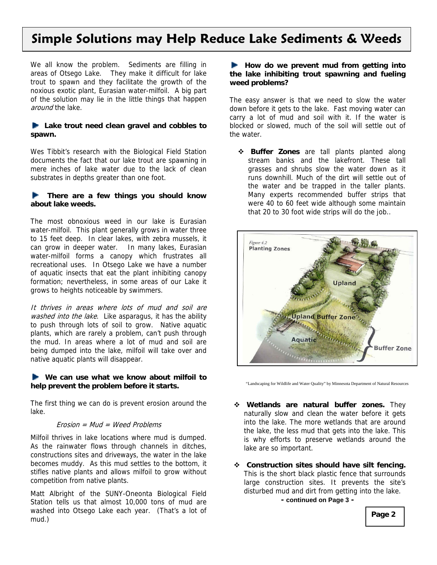# **Simple Solutions may Help Reduce Lake Sediments & Weeds**

We all know the problem. Sediments are filling in areas of Otsego Lake. They make it difficult for lake trout to spawn and they facilitate the growth of the noxious exotic plant, Eurasian water-milfoil. A big part of the solution may lie in the little things that happen around the lake.

#### **Lake trout need clean gravel and cobbles to spawn.**

Wes Tibbit's research with the Biological Field Station documents the fact that our lake trout are spawning in mere inches of lake water due to the lack of clean substrates in depths greater than one foot.

#### **There are a few things you should know about lake weeds.**

The most obnoxious weed in our lake is Eurasian water-milfoil. This plant generally grows in water three to 15 feet deep. In clear lakes, with zebra mussels, it can grow in deeper water. In many lakes, Eurasian water-milfoil forms a canopy which frustrates all recreational uses. In Otsego Lake we have a number of aquatic insects that eat the plant inhibiting canopy formation; nevertheless, in some areas of our Lake it grows to heights noticeable by swimmers.

It thrives in areas where lots of mud and soil are washed into the lake. Like asparagus, it has the ability to push through lots of soil to grow. Native aquatic plants, which are rarely a problem, can't push through the mud. In areas where a lot of mud and soil are being dumped into the lake, milfoil will take over and native aquatic plants will disappear.

#### **We can use what we know about milfoil to help prevent the problem before it starts.**

The first thing we can do is prevent erosion around the lake.

#### Erosion = Mud = Weed Problems

Milfoil thrives in lake locations where mud is dumped. As the rainwater flows through channels in ditches, constructions sites and driveways, the water in the lake becomes muddy. As this mud settles to the bottom, it stifles native plants and allows milfoil to grow without competition from native plants.

Matt Albright of the SUNY-Oneonta Biological Field Station tells us that almost 10,000 tons of mud are washed into Otsego Lake each year. (That's a lot of mud.)

#### **How do we prevent mud from getting into the lake inhibiting trout spawning and fueling weed problems?**

The easy answer is that we need to slow the water down before it gets to the lake. Fast moving water can carry a lot of mud and soil with it. If the water is blocked or slowed, much of the soil will settle out of the water.

 **Buffer Zones** are tall plants planted along stream banks and the lakefront. These tall grasses and shrubs slow the water down as it runs downhill. Much of the dirt will settle out of the water and be trapped in the taller plants. Many experts recommended buffer strips that were 40 to 60 feet wide although some maintain that 20 to 30 foot wide strips will do the job..



"Landscaping for Wildlife and Water Quality" by Minnesota Department of Natural Resources

- **Wetlands are natural buffer zones.** They naturally slow and clean the water before it gets into the lake. The more wetlands that are around the lake, the less mud that gets into the lake. This is why efforts to preserve wetlands around the lake are so important.
- **Construction sites should have silt fencing.**  This is the short black plastic fence that surrounds large construction sites. It prevents the site's disturbed mud and dirt from getting into the lake. **- continued on Page 3 -**

**Page 2**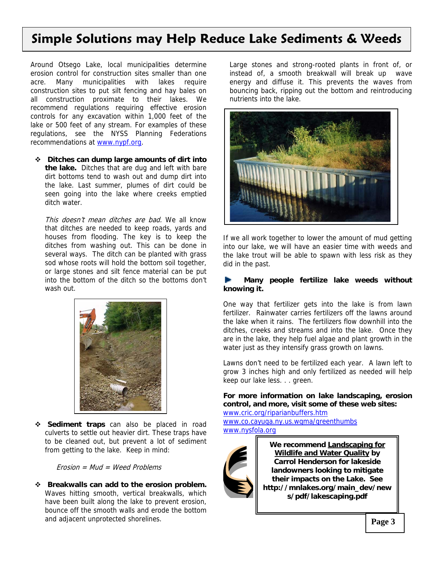# **Simple Solutions may Help Reduce Lake Sediments & Weeds**

Around Otsego Lake, local municipalities determine erosion control for construction sites smaller than one acre. Many municipalities with lakes require construction sites to put silt fencing and hay bales on all construction proximate to their lakes. We recommend regulations requiring effective erosion controls for any excavation within 1,000 feet of the lake or 500 feet of any stream. For examples of these regulations, see the NYSS Planning Federations recommendations at www.nypf.org.

 **Ditches can dump large amounts of dirt into the lake.** Ditches that are dug and left with bare dirt bottoms tend to wash out and dump dirt into the lake. Last summer, plumes of dirt could be seen going into the lake where creeks emptied ditch water.

**Page 2**  houses from flooding. The key is to keep the This doesn't mean ditches are bad. We all know that ditches are needed to keep roads, yards and ditches from washing out. This can be done in several ways. The ditch can be planted with grass sod whose roots will hold the bottom soil together, or large stones and silt fence material can be put into the bottom of the ditch so the bottoms don't wash out.



 **Sediment traps** can also be placed in road culverts to settle out heavier dirt. These traps have to be cleaned out, but prevent a lot of sediment from getting to the lake. Keep in mind:

Erosion = Mud = Weed Problems

 **Breakwalls can add to the erosion problem.**  Waves hitting smooth, vertical breakwalls, which have been built along the lake to prevent erosion, bounce off the smooth walls and erode the bottom and adjacent unprotected shorelines.

Large stones and strong-rooted plants in front of, or instead of, a smooth breakwall will break up wave energy and diffuse it. This prevents the waves from bouncing back, ripping out the bottom and reintroducing nutrients into the lake.



If we all work together to lower the amount of mud getting into our lake, we will have an easier time with weeds and the lake trout will be able to spawn with less risk as they did in the past.

#### **Many people fertilize lake weeds without knowing it.**

One way that fertilizer gets into the lake is from lawn fertilizer. Rainwater carries fertilizers off the lawns around the lake when it rains. The fertilizers flow downhill into the ditches, creeks and streams and into the lake. Once they are in the lake, they help fuel algae and plant growth in the water just as they intensify grass growth on lawns.

Lawns don't need to be fertilized each year. A lawn left to grow 3 inches high and only fertilized as needed will help keep our lake less. . . green.

**For more information on lake landscaping, erosion control, and more, visit some of these web sites:** 

www.cric.org/riparianbuffers.htm www.co.cayuga.ny.us.wqma/greenthumbs www.nysfola.org



**We recommend Landscaping for Wildlife and Water Quality by Carrol Henderson for lakeside landowners looking to mitigate their impacts on the Lake. See http://mnlakes.org/main\_dev/new s/pdf/lakescaping.pdf**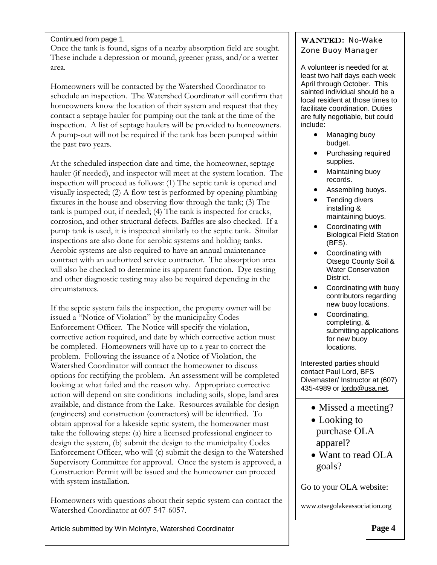#### Continued from page 1.

Once the tank is found, signs of a nearby absorption field are sought. These include a depression or mound, greener grass, and/or a wetter area.

Homeowners will be contacted by the Watershed Coordinator to schedule an inspection. The Watershed Coordinator will confirm that homeowners know the location of their system and request that they contact a septage hauler for pumping out the tank at the time of the inspection. A list of septage haulers will be provided to homeowners. A pump-out will not be required if the tank has been pumped within the past two years.

At the scheduled inspection date and time, the homeowner, septage hauler (if needed), and inspector will meet at the system location. The inspection will proceed as follows: (1) The septic tank is opened and visually inspected; (2) A flow test is performed by opening plumbing fixtures in the house and observing flow through the tank; (3) The tank is pumped out, if needed; (4) The tank is inspected for cracks, corrosion, and other structural defects. Baffles are also checked. If a pump tank is used, it is inspected similarly to the septic tank. Similar inspections are also done for aerobic systems and holding tanks. Aerobic systems are also required to have an annual maintenance contract with an authorized service contractor. The absorption area will also be checked to determine its apparent function. Dye testing and other diagnostic testing may also be required depending in the circumstances.

If the septic system fails the inspection, the property owner will be issued a "Notice of Violation" by the municipality Codes Enforcement Officer. The Notice will specify the violation, corrective action required, and date by which corrective action must be completed. Homeowners will have up to a year to correct the problem. Following the issuance of a Notice of Violation, the Watershed Coordinator will contact the homeowner to discuss options for rectifying the problem. An assessment will be completed looking at what failed and the reason why. Appropriate corrective action will depend on site conditions including soils, slope, land area available, and distance from the Lake. Resources available for design (engineers) and construction (contractors) will be identified. To obtain approval for a lakeside septic system, the homeowner must take the following steps: (a) hire a licensed professional engineer to design the system, (b) submit the design to the municipality Codes Enforcement Officer, who will (c) submit the design to the Watershed Supervisory Committee for approval. Once the system is approved, a Construction Permit will be issued and the homeowner can proceed with system installation.

Homeowners with questions about their septic system can contact the Watershed Coordinator at 607-547-6057.

Article submitted by Win McIntyre, Watershed Coordinator

### WANTED: No-Wake Zone Buoy Manager

A volunteer is needed for at least two half days each week April through October. This sainted individual should be a local resident at those times to facilitate coordination. Duties are fully negotiable, but could include:

- Managing buoy budget.
- Purchasing required supplies.
- Maintaining buoy records.
- Assembling buoys.
- Tending divers installing & maintaining buoys.
- Coordinating with Biological Field Station (BFS).
- Coordinating with Otsego County Soil & Water Conservation District.
- Coordinating with buoy contributors regarding new buoy locations.
- Coordinating, completing, & submitting applications for new buoy locations.

Interested parties should contact Paul Lord, BFS Divemaster/ Instructor at (607) 435-4989 or lordp@usa.net.

- Missed a meeting?
- Looking to purchase OLA apparel?
- Want to read OLA goals?

Go to your OLA website:

www.otsegolakeassociation.org